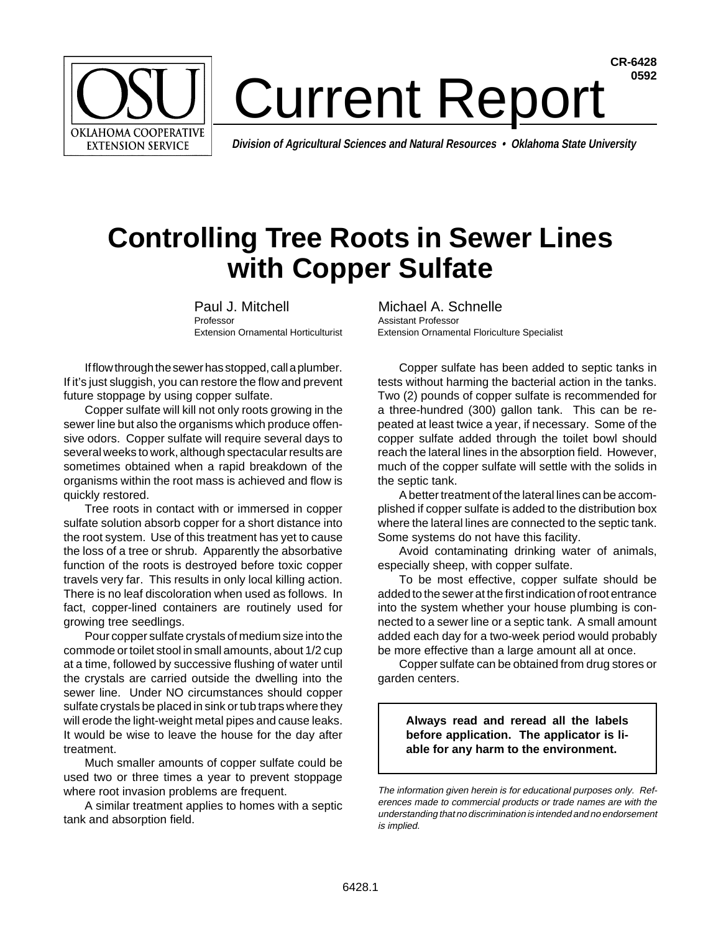

## **CR-6428** Current Report<sup>6592</sup>

**Division of Agricultural Sciences and Natural Resources • Oklahoma State University**

## **Controlling Tree Roots in Sewer Lines with Copper Sulfate**

Paul J. Mitchell Michael A. Schnelle Professor **Assistant Professor** 

If flow through the sewer has stopped, call a plumber. If it's just sluggish, you can restore the flow and prevent future stoppage by using copper sulfate.

Copper sulfate will kill not only roots growing in the sewer line but also the organisms which produce offensive odors. Copper sulfate will require several days to several weeks to work, although spectacular results are sometimes obtained when a rapid breakdown of the organisms within the root mass is achieved and flow is quickly restored.

Tree roots in contact with or immersed in copper sulfate solution absorb copper for a short distance into the root system. Use of this treatment has yet to cause the loss of a tree or shrub. Apparently the absorbative function of the roots is destroyed before toxic copper travels very far. This results in only local killing action. There is no leaf discoloration when used as follows. In fact, copper-lined containers are routinely used for growing tree seedlings.

Pour copper sulfate crystals of medium size into the commode or toilet stool in small amounts, about 1/2 cup at a time, followed by successive flushing of water until the crystals are carried outside the dwelling into the sewer line. Under NO circumstances should copper sulfate crystals be placed in sink or tub traps where they will erode the light-weight metal pipes and cause leaks. It would be wise to leave the house for the day after treatment.

Much smaller amounts of copper sulfate could be used two or three times a year to prevent stoppage where root invasion problems are frequent.

A similar treatment applies to homes with a septic tank and absorption field.

Extension Ornamental Horticulturist Extension Ornamental Floriculture Specialist

Copper sulfate has been added to septic tanks in tests without harming the bacterial action in the tanks. Two (2) pounds of copper sulfate is recommended for a three-hundred (300) gallon tank. This can be repeated at least twice a year, if necessary. Some of the copper sulfate added through the toilet bowl should reach the lateral lines in the absorption field. However, much of the copper sulfate will settle with the solids in the septic tank.

A better treatment of the lateral lines can be accomplished if copper sulfate is added to the distribution box where the lateral lines are connected to the septic tank. Some systems do not have this facility.

Avoid contaminating drinking water of animals, especially sheep, with copper sulfate.

To be most effective, copper sulfate should be added to the sewer at the first indication of root entrance into the system whether your house plumbing is connected to a sewer line or a septic tank. A small amount added each day for a two-week period would probably be more effective than a large amount all at once.

Copper sulfate can be obtained from drug stores or garden centers.

**Always read and reread all the labels before application. The applicator is liable for any harm to the environment.**

The information given herein is for educational purposes only. References made to commercial products or trade names are with the understanding that no discrimination is intended and no endorsement is implied.